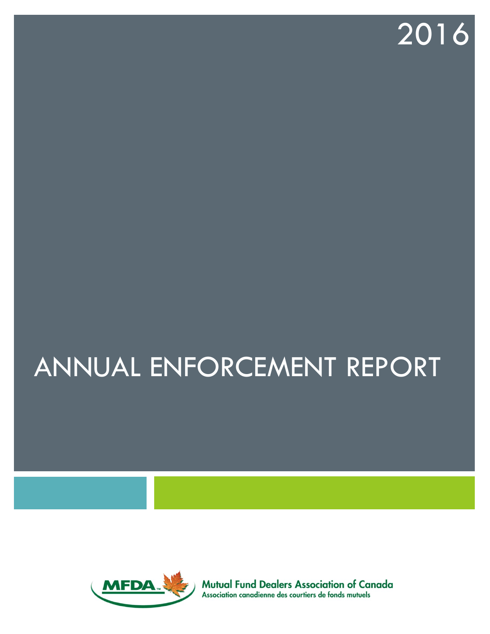# 2016

# ANNUAL ENFORCEMENT REPORT



**Mutual Fund Dealers Association of Canada** Association canadienne des courtiers de fonds mutuels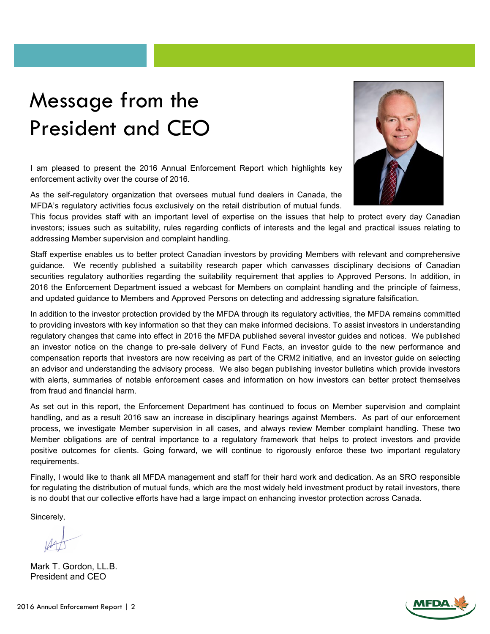# Message from the President and CEO

I am pleased to present the 2016 Annual Enforcement Report which highlights key enforcement activity over the course of 2016.

As the self-regulatory organization that oversees mutual fund dealers in Canada, the MFDA's regulatory activities focus exclusively on the retail distribution of mutual funds.

This focus provides staff with an important level of expertise on the issues that help to protect every day Canadian investors; issues such as suitability, rules regarding conflicts of interests and the legal and practical issues relating to addressing Member supervision and complaint handling.

Staff expertise enables us to better protect Canadian investors by providing Members with relevant and comprehensive guidance. We recently published a suitability research paper which canvasses disciplinary decisions of Canadian securities regulatory authorities regarding the suitability requirement that applies to Approved Persons. In addition, in 2016 the Enforcement Department issued a webcast for Members on complaint handling and the principle of fairness, and updated guidance to Members and Approved Persons on detecting and addressing signature falsification.

In addition to the investor protection provided by the MFDA through its regulatory activities, the MFDA remains committed to providing investors with key information so that they can make informed decisions. To assist investors in understanding regulatory changes that came into effect in 2016 the MFDA published several investor guides and notices. We published an investor notice on the change to pre-sale delivery of Fund Facts, an investor guide to the new performance and compensation reports that investors are now receiving as part of the CRM2 initiative, and an investor guide on selecting an advisor and understanding the advisory process. We also began publishing investor bulletins which provide investors with alerts, summaries of notable enforcement cases and information on how investors can better protect themselves from fraud and financial harm.

As set out in this report, the Enforcement Department has continued to focus on Member supervision and complaint handling, and as a result 2016 saw an increase in disciplinary hearings against Members. As part of our enforcement process, we investigate Member supervision in all cases, and always review Member complaint handling. These two Member obligations are of central importance to a regulatory framework that helps to protect investors and provide positive outcomes for clients. Going forward, we will continue to rigorously enforce these two important regulatory requirements.

Finally, I would like to thank all MFDA management and staff for their hard work and dedication. As an SRO responsible for regulating the distribution of mutual funds, which are the most widely held investment product by retail investors, there is no doubt that our collective efforts have had a large impact on enhancing investor protection across Canada.

Sincerely,

Mark T. Gordon, LL.B. President and CEO



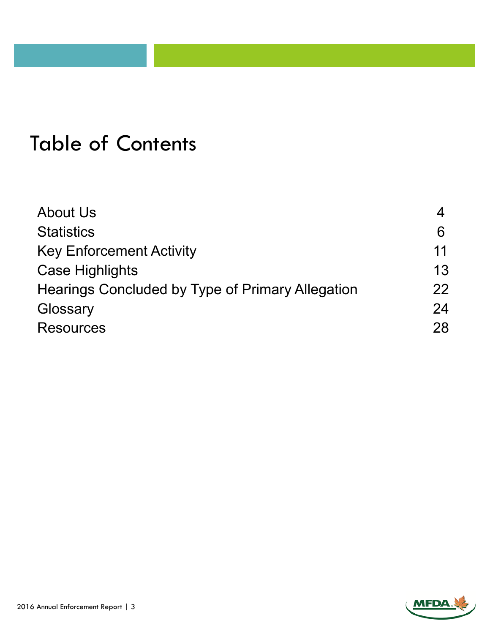### Table of Contents

| <b>About Us</b>                                  |    |
|--------------------------------------------------|----|
| <b>Statistics</b>                                | 6  |
| <b>Key Enforcement Activity</b>                  | 11 |
| <b>Case Highlights</b>                           | 13 |
| Hearings Concluded by Type of Primary Allegation | 22 |
| Glossary                                         | 24 |
| <b>Resources</b>                                 | 28 |

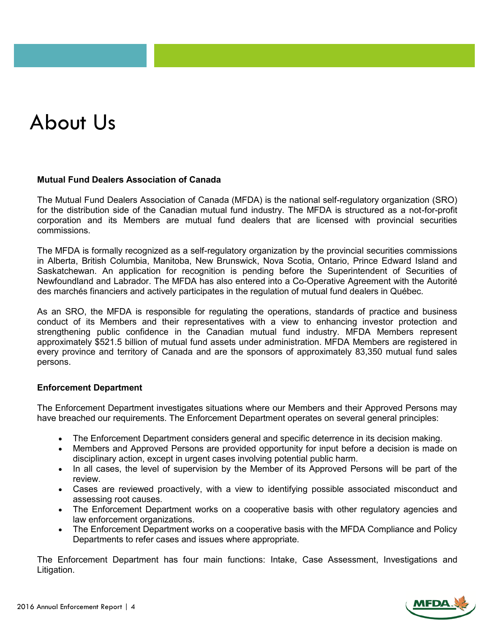# About Us

#### **Mutual Fund Dealers Association of Canada**

The Mutual Fund Dealers Association of Canada (MFDA) is the national self-regulatory organization (SRO) for the distribution side of the Canadian mutual fund industry. The MFDA is structured as a not-for-profit corporation and its Members are mutual fund dealers that are licensed with provincial securities commissions.

The MFDA is formally recognized as a self-regulatory organization by the provincial securities commissions in Alberta, British Columbia, Manitoba, New Brunswick, Nova Scotia, Ontario, Prince Edward Island and Saskatchewan. An application for recognition is pending before the Superintendent of Securities of Newfoundland and Labrador. The MFDA has also entered into a Co-Operative Agreement with the Autorité des marchés financiers and actively participates in the regulation of mutual fund dealers in Québec.

As an SRO, the MFDA is responsible for regulating the operations, standards of practice and business conduct of its Members and their representatives with a view to enhancing investor protection and strengthening public confidence in the Canadian mutual fund industry. MFDA Members represent approximately \$521.5 billion of mutual fund assets under administration. MFDA Members are registered in every province and territory of Canada and are the sponsors of approximately 83,350 mutual fund sales persons.

#### **Enforcement Department**

The Enforcement Department investigates situations where our Members and their Approved Persons may have breached our requirements. The Enforcement Department operates on several general principles:

- The Enforcement Department considers general and specific deterrence in its decision making.
- Members and Approved Persons are provided opportunity for input before a decision is made on disciplinary action, except in urgent cases involving potential public harm.
- In all cases, the level of supervision by the Member of its Approved Persons will be part of the review.
- Cases are reviewed proactively, with a view to identifying possible associated misconduct and assessing root causes.
- The Enforcement Department works on a cooperative basis with other regulatory agencies and law enforcement organizations.
- The Enforcement Department works on a cooperative basis with the MFDA Compliance and Policy Departments to refer cases and issues where appropriate.

The Enforcement Department has four main functions: Intake, Case Assessment, Investigations and Litigation.

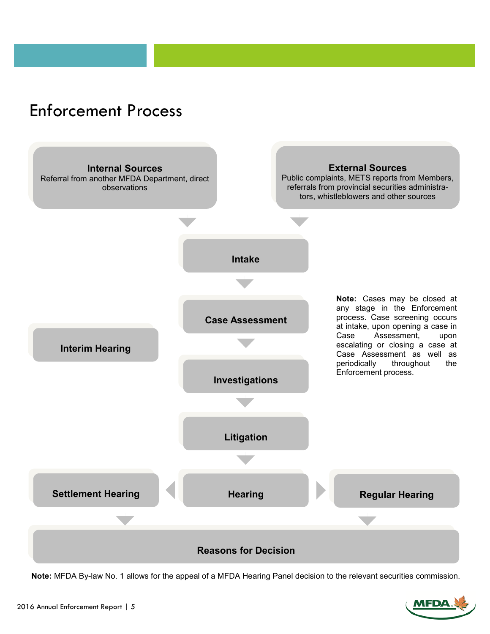### Enforcement Process



**Note:** MFDA By-law No. 1 allows for the appeal of a MFDA Hearing Panel decision to the relevant securities commission.

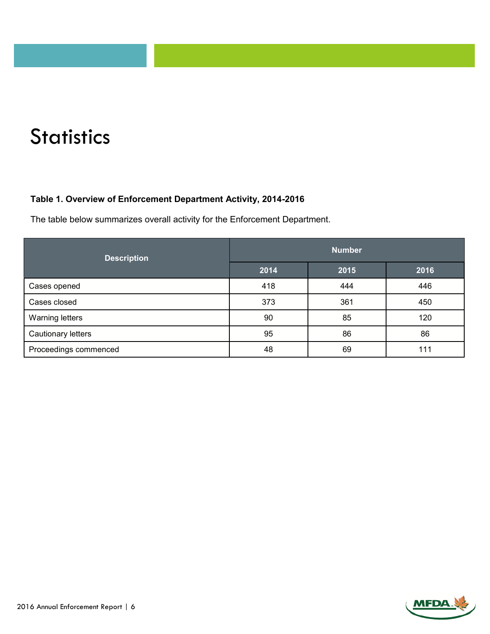# **Statistics**

#### **Table 1. Overview of Enforcement Department Activity, 2014-2016**

The table below summarizes overall activity for the Enforcement Department.

| <b>Description</b>     | <b>Number</b> |      |      |
|------------------------|---------------|------|------|
|                        | 2014          | 2015 | 2016 |
| Cases opened           | 418           | 444  | 446  |
| Cases closed           | 373           | 361  | 450  |
| <b>Warning letters</b> | 90            | 85   | 120  |
| Cautionary letters     | 95            | 86   | 86   |
| Proceedings commenced  | 48            | 69   | 111  |

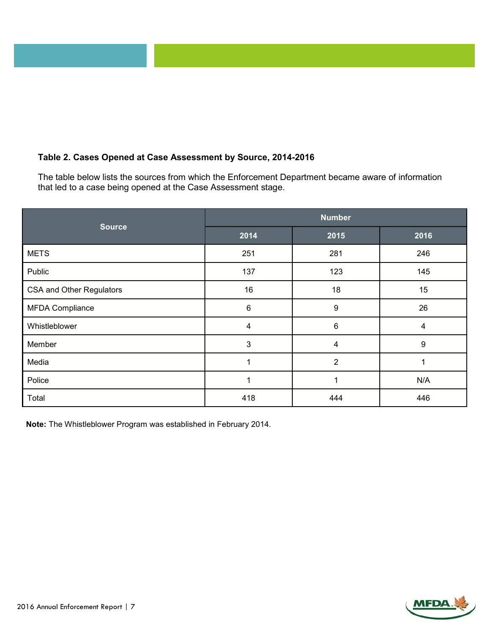#### **Table 2. Cases Opened at Case Assessment by Source, 2014-2016**

The table below lists the sources from which the Enforcement Department became aware of information that led to a case being opened at the Case Assessment stage.

| <b>Source</b>                   | <b>Number</b> |                  |      |
|---------------------------------|---------------|------------------|------|
|                                 | 2014          | 2015             | 2016 |
| <b>METS</b>                     | 251           | 281              | 246  |
| Public                          | 137           | 123              | 145  |
| <b>CSA and Other Regulators</b> | 16            | 18               | 15   |
| <b>MFDA Compliance</b>          | $\,6$         | $\boldsymbol{9}$ | 26   |
| Whistleblower                   | 4             | $6\phantom{1}6$  | 4    |
| Member                          | $\mathbf{3}$  | 4                | 9    |
| Media                           | 1             | $\overline{2}$   |      |
| Police                          | 4             | 1                | N/A  |
| Total                           | 418           | 444              | 446  |

**Note:** The Whistleblower Program was established in February 2014.

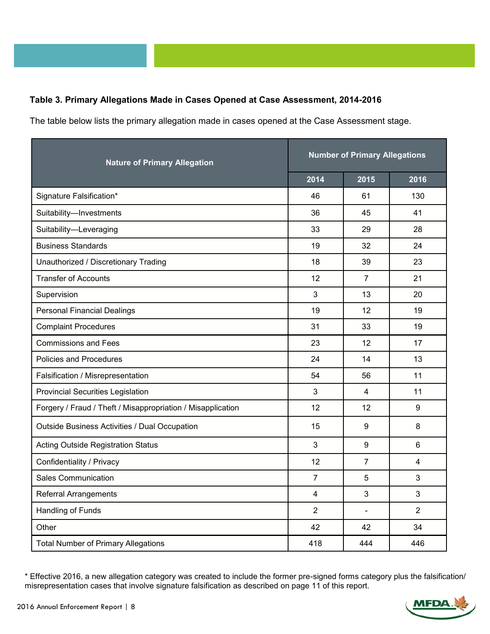#### **Table 3. Primary Allegations Made in Cases Opened at Case Assessment, 2014-2016**

The table below lists the primary allegation made in cases opened at the Case Assessment stage.

| <b>Nature of Primary Allegation</b>                         | <b>Number of Primary Allegations</b> |                |                |
|-------------------------------------------------------------|--------------------------------------|----------------|----------------|
|                                                             | 2014                                 | 2015           | 2016           |
| Signature Falsification*                                    | 46                                   | 61             | 130            |
| Suitability-Investments                                     | 36                                   | 45             | 41             |
| Suitability-Leveraging                                      | 33                                   | 29             | 28             |
| <b>Business Standards</b>                                   | 19                                   | 32             | 24             |
| Unauthorized / Discretionary Trading                        | 18                                   | 39             | 23             |
| <b>Transfer of Accounts</b>                                 | 12                                   | $\overline{7}$ | 21             |
| Supervision                                                 | 3                                    | 13             | 20             |
| <b>Personal Financial Dealings</b>                          | 19                                   | 12             | 19             |
| <b>Complaint Procedures</b>                                 | 31                                   | 33             | 19             |
| <b>Commissions and Fees</b>                                 | 23                                   | 12             | 17             |
| Policies and Procedures                                     | 24                                   | 14             | 13             |
| Falsification / Misrepresentation                           | 54                                   | 56             | 11             |
| <b>Provincial Securities Legislation</b>                    | $\mathfrak{S}$                       | $\overline{4}$ | 11             |
| Forgery / Fraud / Theft / Misappropriation / Misapplication | 12                                   | 12             | 9              |
| Outside Business Activities / Dual Occupation               | 15                                   | 9              | 8              |
| <b>Acting Outside Registration Status</b>                   | 3                                    | 9              | 6              |
| Confidentiality / Privacy                                   | 12                                   | $\overline{7}$ | $\overline{4}$ |
| <b>Sales Communication</b>                                  | $\overline{7}$                       | 5              | 3              |
| <b>Referral Arrangements</b>                                | $\overline{4}$                       | 3              | 3              |
| Handling of Funds                                           | $\overline{2}$                       |                | $\overline{2}$ |
| Other                                                       | 42                                   | 42             | 34             |
| <b>Total Number of Primary Allegations</b>                  | 418                                  | 444            | 446            |

<sup>\*</sup> Effective 2016, a new allegation category was created to include the former pre-signed forms category plus the falsification/ misrepresentation cases that involve signature falsification as described on page 11 of this report.

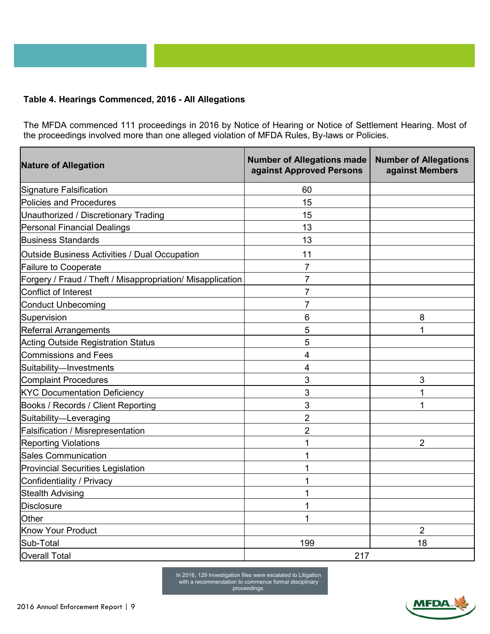#### **Table 4. Hearings Commenced, 2016 - All Allegations**

The MFDA commenced 111 proceedings in 2016 by Notice of Hearing or Notice of Settlement Hearing. Most of the proceedings involved more than one alleged violation of MFDA Rules, By-laws or Policies.

| <b>Nature of Allegation</b>                                | <b>Number of Allegations made</b><br>against Approved Persons | <b>Number of Allegations</b><br>against Members |
|------------------------------------------------------------|---------------------------------------------------------------|-------------------------------------------------|
| Signature Falsification                                    | 60                                                            |                                                 |
| Policies and Procedures                                    | 15                                                            |                                                 |
| Unauthorized / Discretionary Trading                       | 15                                                            |                                                 |
| Personal Financial Dealings                                | 13                                                            |                                                 |
| <b>Business Standards</b>                                  | 13                                                            |                                                 |
| Outside Business Activities / Dual Occupation              | 11                                                            |                                                 |
| <b>Failure to Cooperate</b>                                | 7                                                             |                                                 |
| Forgery / Fraud / Theft / Misappropriation/ Misapplication | 7                                                             |                                                 |
| Conflict of Interest                                       | $\overline{7}$                                                |                                                 |
| <b>Conduct Unbecoming</b>                                  | 7                                                             |                                                 |
| Supervision                                                | 6                                                             | 8                                               |
| <b>Referral Arrangements</b>                               | 5                                                             | 1                                               |
| <b>Acting Outside Registration Status</b>                  | 5                                                             |                                                 |
| Commissions and Fees                                       | 4                                                             |                                                 |
| Suitability-Investments                                    | 4                                                             |                                                 |
| <b>Complaint Procedures</b>                                | 3                                                             | 3                                               |
| <b>KYC Documentation Deficiency</b>                        | 3                                                             | 1                                               |
| Books / Records / Client Reporting                         | 3                                                             | 1                                               |
| Suitability-Leveraging                                     | $\overline{2}$                                                |                                                 |
| Falsification / Misrepresentation                          | $\overline{2}$                                                |                                                 |
| <b>Reporting Violations</b>                                | 1                                                             | $\overline{2}$                                  |
| <b>Sales Communication</b>                                 | 1                                                             |                                                 |
| <b>Provincial Securities Legislation</b>                   | 1                                                             |                                                 |
| Confidentiality / Privacy                                  | 1                                                             |                                                 |
| <b>Stealth Advising</b>                                    | 1                                                             |                                                 |
| <b>Disclosure</b>                                          | 1                                                             |                                                 |
| Other                                                      |                                                               |                                                 |
| Know Your Product                                          |                                                               | $\overline{2}$                                  |
| Sub-Total                                                  | 199                                                           | 18                                              |
| <b>Overall Total</b>                                       | 217                                                           |                                                 |

In 2016, 129 Investigation files were escalated to Litigation with a recommendation to commence formal disciplinary proceedings.

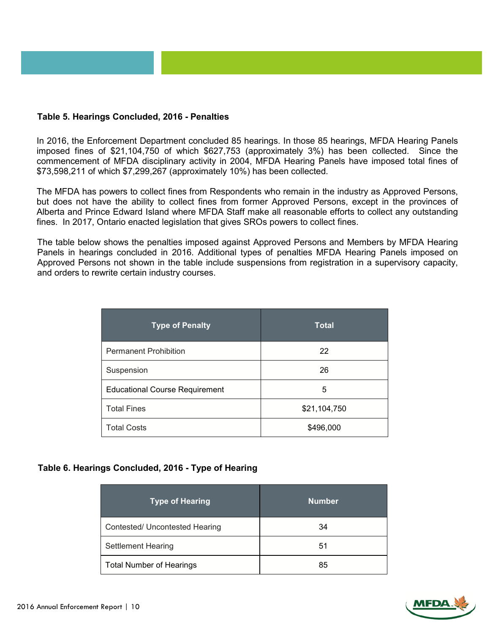#### **Table 5. Hearings Concluded, 2016 - Penalties**

In 2016, the Enforcement Department concluded 85 hearings. In those 85 hearings, MFDA Hearing Panels imposed fines of \$21,104,750 of which \$627,753 (approximately 3%) has been collected. Since the commencement of MFDA disciplinary activity in 2004, MFDA Hearing Panels have imposed total fines of \$73,598,211 of which \$7,299,267 (approximately 10%) has been collected.

The MFDA has powers to collect fines from Respondents who remain in the industry as Approved Persons, but does not have the ability to collect fines from former Approved Persons, except in the provinces of Alberta and Prince Edward Island where MFDA Staff make all reasonable efforts to collect any outstanding fines. In 2017, Ontario enacted legislation that gives SROs powers to collect fines.

The table below shows the penalties imposed against Approved Persons and Members by MFDA Hearing Panels in hearings concluded in 2016. Additional types of penalties MFDA Hearing Panels imposed on Approved Persons not shown in the table include suspensions from registration in a supervisory capacity, and orders to rewrite certain industry courses.

| Type of Penalty                       | <b>Total</b> |
|---------------------------------------|--------------|
| <b>Permanent Prohibition</b>          | 22           |
| Suspension                            | 26           |
| <b>Educational Course Requirement</b> | 5            |
| <b>Total Fines</b>                    | \$21,104,750 |
| <b>Total Costs</b>                    | \$496,000    |

#### **Table 6. Hearings Concluded, 2016 - Type of Hearing**

| <b>Type of Hearing</b>          | <b>Number</b> |
|---------------------------------|---------------|
| Contested/ Uncontested Hearing  | 34            |
| <b>Settlement Hearing</b>       | 51            |
| <b>Total Number of Hearings</b> | 85            |

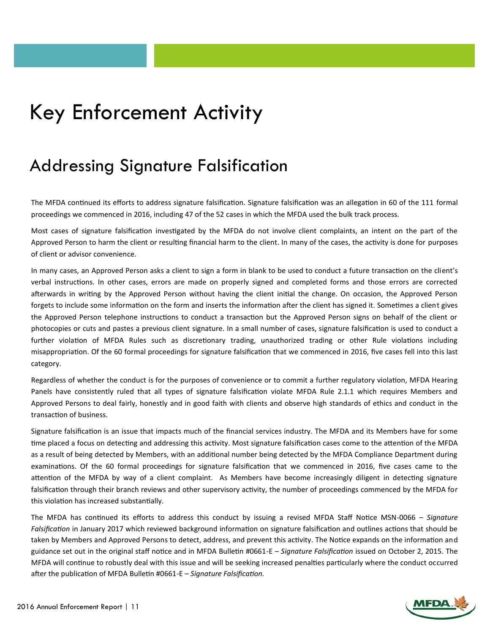### Key Enforcement Activity

### Addressing Signature Falsification

The MFDA continued its efforts to address signature falsification. Signature falsification was an allegation in 60 of the 111 formal proceedings we commenced in 2016, including 47 of the 52 cases in which the MFDA used the bulk track process.

Most cases of signature falsification investigated by the MFDA do not involve client complaints, an intent on the part of the Approved Person to harm the client or resulting financial harm to the client. In many of the cases, the activity is done for purposes of client or advisor convenience.

In many cases, an Approved Person asks a client to sign a form in blank to be used to conduct a future transaction on the client's verbal instructions. In other cases, errors are made on properly signed and completed forms and those errors are corrected afterwards in writing by the Approved Person without having the client initial the change. On occasion, the Approved Person forgets to include some information on the form and inserts the information after the client has signed it. Sometimes a client gives the Approved Person telephone instructions to conduct a transaction but the Approved Person signs on behalf of the client or photocopies or cuts and pastes a previous client signature. In a small number of cases, signature falsification is used to conduct a further violation of MFDA Rules such as discretionary trading, unauthorized trading or other Rule violations including misappropriation. Of the 60 formal proceedings for signature falsification that we commenced in 2016, five cases fell into this last category.

Regardless of whether the conduct is for the purposes of convenience or to commit a further regulatory violation, MFDA Hearing Panels have consistently ruled that all types of signature falsification violate MFDA Rule 2.1.1 which requires Members and Approved Persons to deal fairly, honestly and in good faith with clients and observe high standards of ethics and conduct in the transaction of business.

Signature falsification is an issue that impacts much of the financial services industry. The MFDA and its Members have for some time placed a focus on detecting and addressing this activity. Most signature falsification cases come to the attention of the MFDA as a result of being detected by Members, with an additional number being detected by the MFDA Compliance Department during examinations. Of the 60 formal proceedings for signature falsification that we commenced in 2016, five cases came to the attention of the MFDA by way of a client complaint. As Members have become increasingly diligent in detecting signature falsification through their branch reviews and other supervisory activity, the number of proceedings commenced by the MFDA for this violation has increased substantially.

The MFDA has continued its efforts to address this conduct by issuing a revised MFDA Staff Notice MSN-0066 *– Signature Falsification* in January 2017 which reviewed background information on signature falsification and outlines actions that should be taken by Members and Approved Persons to detect, address, and prevent this activity. The Notice expands on the information and guidance set out in the original staff notice and in MFDA Bulletin #0661-E – *Signature Falsification* issued on October 2, 2015. The MFDA will continue to robustly deal with this issue and will be seeking increased penalties particularly where the conduct occurred after the publication of MFDA Bulletin #0661-E – *Signature Falsification.*

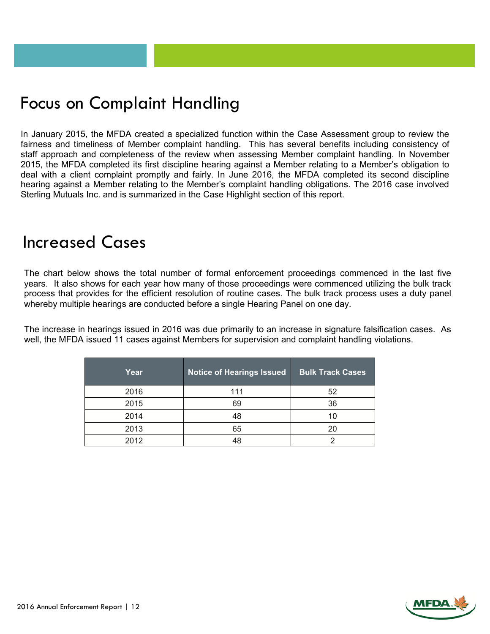### Focus on Complaint Handling

In January 2015, the MFDA created a specialized function within the Case Assessment group to review the fairness and timeliness of Member complaint handling. This has several benefits including consistency of staff approach and completeness of the review when assessing Member complaint handling. In November 2015, the MFDA completed its first discipline hearing against a Member relating to a Member's obligation to deal with a client complaint promptly and fairly. In June 2016, the MFDA completed its second discipline hearing against a Member relating to the Member's complaint handling obligations. The 2016 case involved Sterling Mutuals Inc. and is summarized in the Case Highlight section of this report.

### Increased Cases

The chart below shows the total number of formal enforcement proceedings commenced in the last five years. It also shows for each year how many of those proceedings were commenced utilizing the bulk track process that provides for the efficient resolution of routine cases. The bulk track process uses a duty panel whereby multiple hearings are conducted before a single Hearing Panel on one day.

The increase in hearings issued in 2016 was due primarily to an increase in signature falsification cases. As well, the MFDA issued 11 cases against Members for supervision and complaint handling violations.

| Year | <b>Notice of Hearings Issued</b> | <b>Bulk Track Cases</b> |
|------|----------------------------------|-------------------------|
| 2016 | 111                              | 52                      |
| 2015 | 69                               | 36                      |
| 2014 | 48                               | 10                      |
| 2013 | 65                               | 20                      |
| 2012 |                                  |                         |

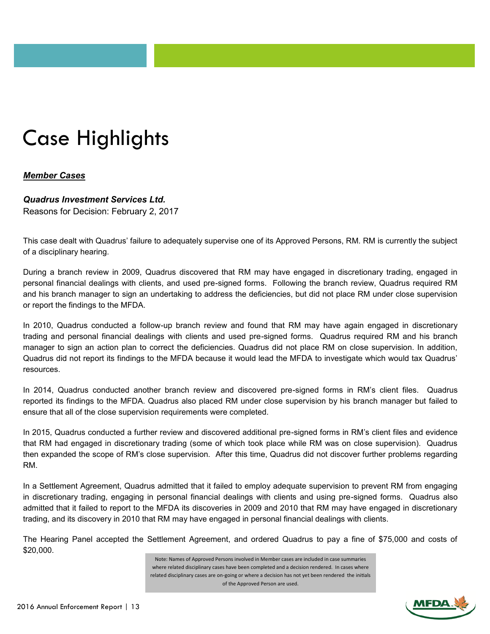# Case Highlights

#### *Member Cases*

#### *Quadrus Investment Services Ltd.*

Reasons for Decision: February 2, 2017

This case dealt with Quadrus' failure to adequately supervise one of its Approved Persons, RM. RM is currently the subject of a disciplinary hearing.

During a branch review in 2009, Quadrus discovered that RM may have engaged in discretionary trading, engaged in personal financial dealings with clients, and used pre-signed forms. Following the branch review, Quadrus required RM and his branch manager to sign an undertaking to address the deficiencies, but did not place RM under close supervision or report the findings to the MFDA.

In 2010, Quadrus conducted a follow-up branch review and found that RM may have again engaged in discretionary trading and personal financial dealings with clients and used pre-signed forms. Quadrus required RM and his branch manager to sign an action plan to correct the deficiencies. Quadrus did not place RM on close supervision. In addition, Quadrus did not report its findings to the MFDA because it would lead the MFDA to investigate which would tax Quadrus' resources.

In 2014, Quadrus conducted another branch review and discovered pre-signed forms in RM's client files. Quadrus reported its findings to the MFDA. Quadrus also placed RM under close supervision by his branch manager but failed to ensure that all of the close supervision requirements were completed.

In 2015, Quadrus conducted a further review and discovered additional pre-signed forms in RM's client files and evidence that RM had engaged in discretionary trading (some of which took place while RM was on close supervision). Quadrus then expanded the scope of RM's close supervision. After this time, Quadrus did not discover further problems regarding RM.

In a Settlement Agreement, Quadrus admitted that it failed to employ adequate supervision to prevent RM from engaging in discretionary trading, engaging in personal financial dealings with clients and using pre-signed forms. Quadrus also admitted that it failed to report to the MFDA its discoveries in 2009 and 2010 that RM may have engaged in discretionary trading, and its discovery in 2010 that RM may have engaged in personal financial dealings with clients.

The Hearing Panel accepted the Settlement Agreement, and ordered Quadrus to pay a fine of \$75,000 and costs of \$20,000.

> Note: Names of Approved Persons involved in Member cases are included in case summaries where related disciplinary cases have been completed and a decision rendered. In cases where related disciplinary cases are on-going or where a decision has not yet been rendered the initials of the Approved Person are used.

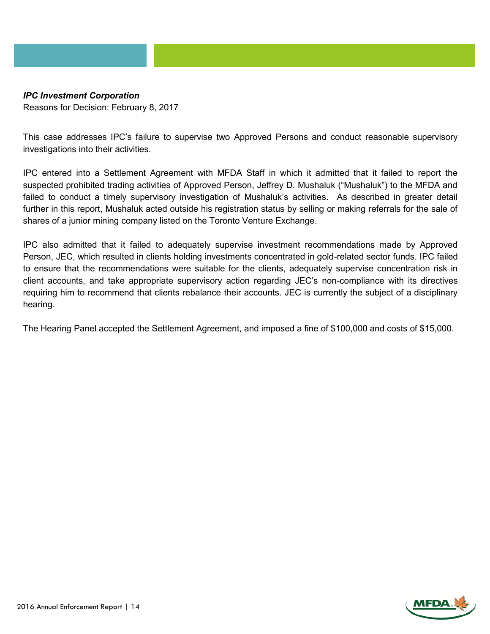### *IPC Investment Corporation*

Reasons for Decision: February 8, 2017

This case addresses IPC's failure to supervise two Approved Persons and conduct reasonable supervisory investigations into their activities.

IPC entered into a Settlement Agreement with MFDA Staff in which it admitted that it failed to report the suspected prohibited trading activities of Approved Person, Jeffrey D. Mushaluk ("Mushaluk") to the MFDA and failed to conduct a timely supervisory investigation of Mushaluk's activities. As described in greater detail further in this report, Mushaluk acted outside his registration status by selling or making referrals for the sale of shares of a junior mining company listed on the Toronto Venture Exchange.

IPC also admitted that it failed to adequately supervise investment recommendations made by Approved Person, JEC, which resulted in clients holding investments concentrated in gold-related sector funds. IPC failed to ensure that the recommendations were suitable for the clients, adequately supervise concentration risk in client accounts, and take appropriate supervisory action regarding JEC's non-compliance with its directives requiring him to recommend that clients rebalance their accounts. JEC is currently the subject of a disciplinary hearing.

The Hearing Panel accepted the Settlement Agreement, and imposed a fine of \$100,000 and costs of \$15,000.

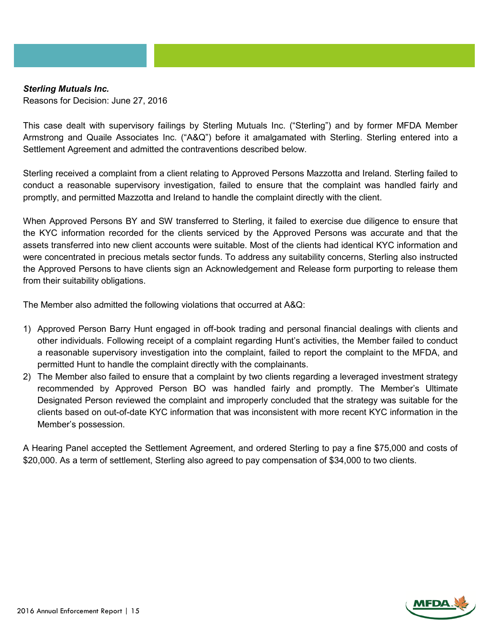#### *Sterling Mutuals Inc.*

Reasons for Decision: June 27, 2016

This case dealt with supervisory failings by Sterling Mutuals Inc. ("Sterling") and by former MFDA Member Armstrong and Quaile Associates Inc. ("A&Q") before it amalgamated with Sterling. Sterling entered into a Settlement Agreement and admitted the contraventions described below.

Sterling received a complaint from a client relating to Approved Persons Mazzotta and Ireland. Sterling failed to conduct a reasonable supervisory investigation, failed to ensure that the complaint was handled fairly and promptly, and permitted Mazzotta and Ireland to handle the complaint directly with the client.

When Approved Persons BY and SW transferred to Sterling, it failed to exercise due diligence to ensure that the KYC information recorded for the clients serviced by the Approved Persons was accurate and that the assets transferred into new client accounts were suitable. Most of the clients had identical KYC information and were concentrated in precious metals sector funds. To address any suitability concerns, Sterling also instructed the Approved Persons to have clients sign an Acknowledgement and Release form purporting to release them from their suitability obligations.

The Member also admitted the following violations that occurred at A&Q:

- 1) Approved Person Barry Hunt engaged in off-book trading and personal financial dealings with clients and other individuals. Following receipt of a complaint regarding Hunt's activities, the Member failed to conduct a reasonable supervisory investigation into the complaint, failed to report the complaint to the MFDA, and permitted Hunt to handle the complaint directly with the complainants.
- 2) The Member also failed to ensure that a complaint by two clients regarding a leveraged investment strategy recommended by Approved Person BO was handled fairly and promptly. The Member's Ultimate Designated Person reviewed the complaint and improperly concluded that the strategy was suitable for the clients based on out-of-date KYC information that was inconsistent with more recent KYC information in the Member's possession.

A Hearing Panel accepted the Settlement Agreement, and ordered Sterling to pay a fine \$75,000 and costs of \$20,000. As a term of settlement, Sterling also agreed to pay compensation of \$34,000 to two clients.

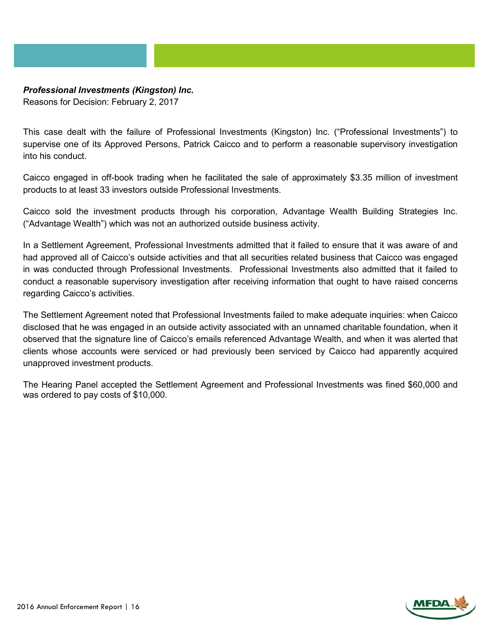#### *Professional Investments (Kingston) Inc.*

Reasons for Decision: February 2, 2017

This case dealt with the failure of Professional Investments (Kingston) Inc. ("Professional Investments") to supervise one of its Approved Persons, Patrick Caicco and to perform a reasonable supervisory investigation into his conduct.

Caicco engaged in off-book trading when he facilitated the sale of approximately \$3.35 million of investment products to at least 33 investors outside Professional Investments.

Caicco sold the investment products through his corporation, Advantage Wealth Building Strategies Inc. ("Advantage Wealth") which was not an authorized outside business activity.

In a Settlement Agreement, Professional Investments admitted that it failed to ensure that it was aware of and had approved all of Caicco's outside activities and that all securities related business that Caicco was engaged in was conducted through Professional Investments. Professional Investments also admitted that it failed to conduct a reasonable supervisory investigation after receiving information that ought to have raised concerns regarding Caicco's activities.

The Settlement Agreement noted that Professional Investments failed to make adequate inquiries: when Caicco disclosed that he was engaged in an outside activity associated with an unnamed charitable foundation, when it observed that the signature line of Caicco's emails referenced Advantage Wealth, and when it was alerted that clients whose accounts were serviced or had previously been serviced by Caicco had apparently acquired unapproved investment products.

The Hearing Panel accepted the Settlement Agreement and Professional Investments was fined \$60,000 and was ordered to pay costs of \$10,000.

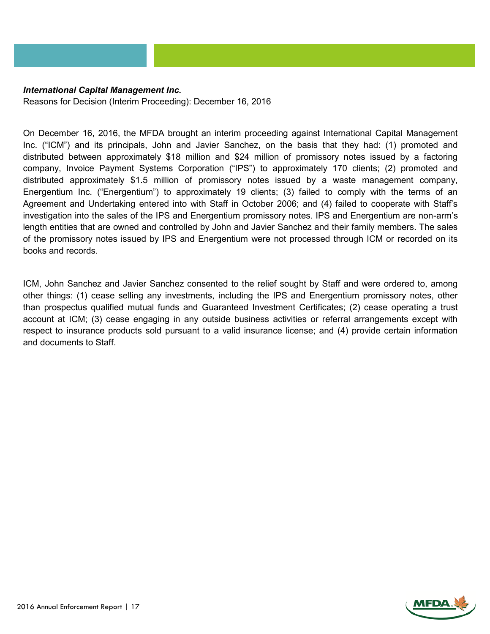#### *International Capital Management Inc.*

Reasons for Decision (Interim Proceeding): December 16, 2016

On December 16, 2016, the MFDA brought an interim proceeding against International Capital Management Inc. ("ICM") and its principals, John and Javier Sanchez, on the basis that they had: (1) promoted and distributed between approximately \$18 million and \$24 million of promissory notes issued by a factoring company, Invoice Payment Systems Corporation ("IPS") to approximately 170 clients; (2) promoted and distributed approximately \$1.5 million of promissory notes issued by a waste management company, Energentium Inc. ("Energentium") to approximately 19 clients; (3) failed to comply with the terms of an Agreement and Undertaking entered into with Staff in October 2006; and (4) failed to cooperate with Staff's investigation into the sales of the IPS and Energentium promissory notes. IPS and Energentium are non-arm's length entities that are owned and controlled by John and Javier Sanchez and their family members. The sales of the promissory notes issued by IPS and Energentium were not processed through ICM or recorded on its books and records.

ICM, John Sanchez and Javier Sanchez consented to the relief sought by Staff and were ordered to, among other things: (1) cease selling any investments, including the IPS and Energentium promissory notes, other than prospectus qualified mutual funds and Guaranteed Investment Certificates; (2) cease operating a trust account at ICM; (3) cease engaging in any outside business activities or referral arrangements except with respect to insurance products sold pursuant to a valid insurance license; and (4) provide certain information and documents to Staff.

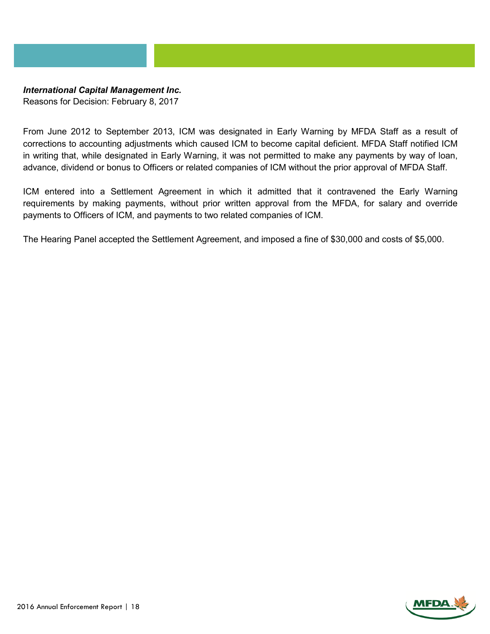#### *International Capital Management Inc.*

Reasons for Decision: February 8, 2017

From June 2012 to September 2013, ICM was designated in Early Warning by MFDA Staff as a result of corrections to accounting adjustments which caused ICM to become capital deficient. MFDA Staff notified ICM in writing that, while designated in Early Warning, it was not permitted to make any payments by way of loan, advance, dividend or bonus to Officers or related companies of ICM without the prior approval of MFDA Staff.

ICM entered into a Settlement Agreement in which it admitted that it contravened the Early Warning requirements by making payments, without prior written approval from the MFDA, for salary and override payments to Officers of ICM, and payments to two related companies of ICM.

The Hearing Panel accepted the Settlement Agreement, and imposed a fine of \$30,000 and costs of \$5,000.

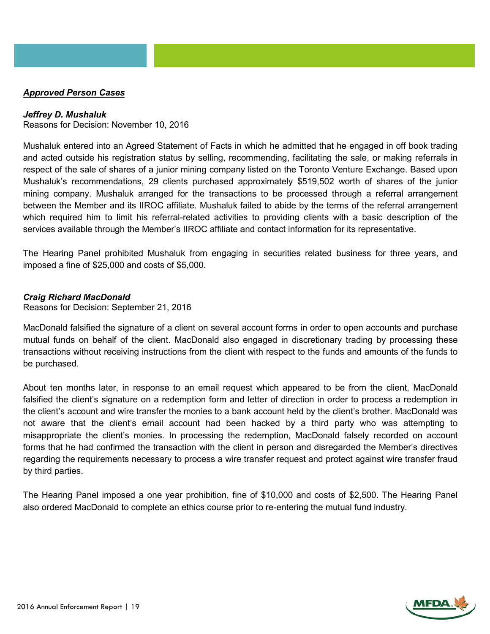#### *Approved Person Cases*

#### *Jeffrey D. Mushaluk*

Reasons for Decision: November 10, 2016

Mushaluk entered into an Agreed Statement of Facts in which he admitted that he engaged in off book trading and acted outside his registration status by selling, recommending, facilitating the sale, or making referrals in respect of the sale of shares of a junior mining company listed on the Toronto Venture Exchange. Based upon Mushaluk's recommendations, 29 clients purchased approximately \$519,502 worth of shares of the junior mining company. Mushaluk arranged for the transactions to be processed through a referral arrangement between the Member and its IIROC affiliate. Mushaluk failed to abide by the terms of the referral arrangement which required him to limit his referral-related activities to providing clients with a basic description of the services available through the Member's IIROC affiliate and contact information for its representative.

The Hearing Panel prohibited Mushaluk from engaging in securities related business for three years, and imposed a fine of \$25,000 and costs of \$5,000.

#### *Craig Richard MacDonald*

Reasons for Decision: September 21, 2016

MacDonald falsified the signature of a client on several account forms in order to open accounts and purchase mutual funds on behalf of the client. MacDonald also engaged in discretionary trading by processing these transactions without receiving instructions from the client with respect to the funds and amounts of the funds to be purchased.

About ten months later, in response to an email request which appeared to be from the client, MacDonald falsified the client's signature on a redemption form and letter of direction in order to process a redemption in the client's account and wire transfer the monies to a bank account held by the client's brother. MacDonald was not aware that the client's email account had been hacked by a third party who was attempting to misappropriate the client's monies. In processing the redemption, MacDonald falsely recorded on account forms that he had confirmed the transaction with the client in person and disregarded the Member's directives regarding the requirements necessary to process a wire transfer request and protect against wire transfer fraud by third parties.

The Hearing Panel imposed a one year prohibition, fine of \$10,000 and costs of \$2,500. The Hearing Panel also ordered MacDonald to complete an ethics course prior to re-entering the mutual fund industry.

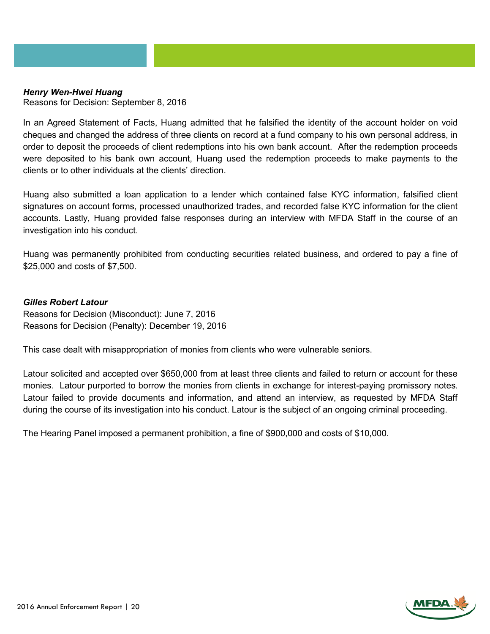#### *Henry Wen-Hwei Huang*

Reasons for Decision: September 8, 2016

In an Agreed Statement of Facts, Huang admitted that he falsified the identity of the account holder on void cheques and changed the address of three clients on record at a fund company to his own personal address, in order to deposit the proceeds of client redemptions into his own bank account. After the redemption proceeds were deposited to his bank own account, Huang used the redemption proceeds to make payments to the clients or to other individuals at the clients' direction.

Huang also submitted a loan application to a lender which contained false KYC information, falsified client signatures on account forms, processed unauthorized trades, and recorded false KYC information for the client accounts. Lastly, Huang provided false responses during an interview with MFDA Staff in the course of an investigation into his conduct.

Huang was permanently prohibited from conducting securities related business, and ordered to pay a fine of \$25,000 and costs of \$7,500.

#### *Gilles Robert Latour*

Reasons for Decision (Misconduct): June 7, 2016 Reasons for Decision (Penalty): December 19, 2016

This case dealt with misappropriation of monies from clients who were vulnerable seniors.

Latour solicited and accepted over \$650,000 from at least three clients and failed to return or account for these monies. Latour purported to borrow the monies from clients in exchange for interest-paying promissory notes. Latour failed to provide documents and information, and attend an interview, as requested by MFDA Staff during the course of its investigation into his conduct. Latour is the subject of an ongoing criminal proceeding.

The Hearing Panel imposed a permanent prohibition, a fine of \$900,000 and costs of \$10,000.

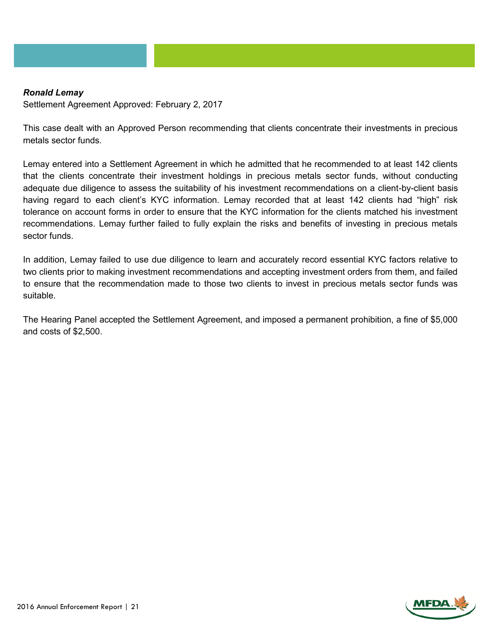#### *Ronald Lemay*

Settlement Agreement Approved: February 2, 2017

This case dealt with an Approved Person recommending that clients concentrate their investments in precious metals sector funds.

Lemay entered into a Settlement Agreement in which he admitted that he recommended to at least 142 clients that the clients concentrate their investment holdings in precious metals sector funds, without conducting adequate due diligence to assess the suitability of his investment recommendations on a client-by-client basis having regard to each client's KYC information. Lemay recorded that at least 142 clients had "high" risk tolerance on account forms in order to ensure that the KYC information for the clients matched his investment recommendations. Lemay further failed to fully explain the risks and benefits of investing in precious metals sector funds.

In addition, Lemay failed to use due diligence to learn and accurately record essential KYC factors relative to two clients prior to making investment recommendations and accepting investment orders from them, and failed to ensure that the recommendation made to those two clients to invest in precious metals sector funds was suitable.

The Hearing Panel accepted the Settlement Agreement, and imposed a permanent prohibition, a fine of \$5,000 and costs of \$2,500.

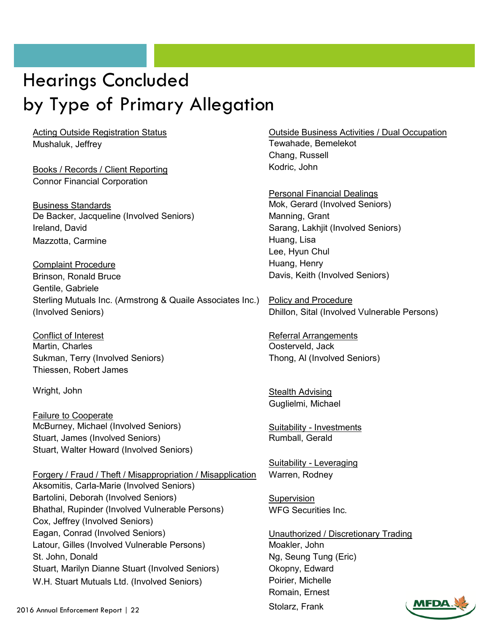### Hearings Concluded by Type of Primary Allegation

Mushaluk, Jeffrey **Tewahade, Bemelekot** 

Books / Records / Client Reporting Material Muslem Kodric, John Connor Financial Corporation

Business Standards Mok, Gerard (Involved Seniors) De Backer, Jacqueline (Involved Seniors) Manning, Grant Ireland, David Sarang, Lakhjit (Involved Seniors) Mazzotta, Carmine **Huang, Lisa** 

Complaint Procedure **Huang, Henry Huang**, Henry Brinson, Ronald Bruce Davis, Keith (Involved Seniors) Gentile, Gabriele Sterling Mutuals Inc. (Armstrong & Quaile Associates Inc.) Policy and Procedure (Involved Seniors) Dhillon, Sital (Involved Vulnerable Persons)

Conflict of Interest **Referral Arrangements** Referral Arrangements Martin, Charles **Martin, Charles** Costerveld, Jack Sukman, Terry (Involved Seniors) Thong, Al (Involved Seniors) Thiessen, Robert James

Failure to Cooperate McBurney, Michael (Involved Seniors) Suitability - Investments Stuart, James (Involved Seniors) Rumball, Gerald Stuart, Walter Howard (Involved Seniors)

Forgery / Fraud / Theft / Misappropriation / Misapplication Warren, Rodney Aksomitis, Carla-Marie (Involved Seniors) Bartolini, Deborah (Involved Seniors) Supervision Bhathal, Rupinder (Involved Vulnerable Persons) WFG Securities Inc. Cox, Jeffrey (Involved Seniors) Eagan, Conrad (Involved Seniors) Unauthorized / Discretionary Trading Latour, Gilles (Involved Vulnerable Persons) Moakler, John St. John, Donald Ng, Seung Tung (Eric) Stuart, Marilyn Dianne Stuart (Involved Seniors) Okopny, Edward W.H. Stuart Mutuals Ltd. (Involved Seniors) Poirier, Michelle

Acting Outside Registration Status **Container Containers** Outside Business Activities / Dual Occupation

Chang, Russell

Personal Financial Dealings Lee, Hyun Chul

Wright, John Stealth Advising Guglielmi, Michael

Suitability - Leveraging

Romain, Ernest



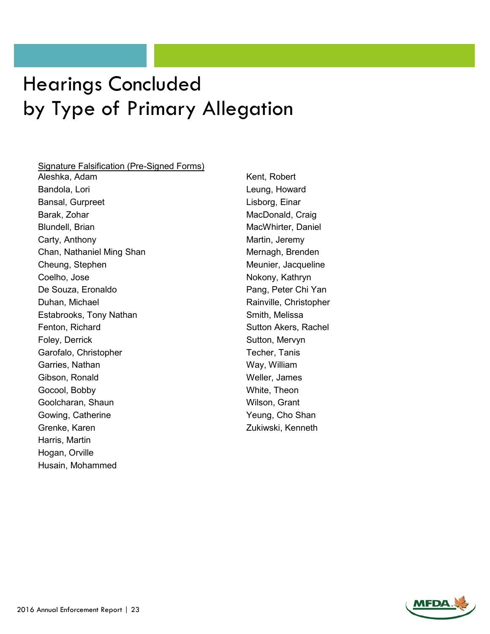### Hearings Concluded by Type of Primary Allegation

#### Signature Falsification (Pre-Signed Forms)

Aleshka, Adam Kent, Robert Bandola, Lori **Leung, Howard** Bansal, Gurpreet Lisborg, Einar Barak, Zohar MacDonald, Craig Blundell, Brian MacWhirter, Daniel Carty, Anthony **Martin**, Jeremy Chan, Nathaniel Ming Shan Mernagh, Brenden Cheung, Stephen Meunier, Jacqueline Coelho, Jose Nokony, Kathryn De Souza, Eronaldo **Pang, Peter Chi Yan** Duhan, Michael **Rainville**, Christopher Estabrooks, Tony Nathan Smith, Melissa Fenton, Richard **Sutton Akers**, Rachel Foley, Derrick **Sutton, Mervyn** Garofalo, Christopher Techer, Tanis Garries, Nathan Way, William Gibson, Ronald Weller, James Gocool, Bobby **White, Theon** Goolcharan, Shaun Wilson, Grant Gowing, Catherine The Yeung, Cho Shan Grenke, Karen **Zukiwski, Kenneth** Harris, Martin Hogan, Orville Husain, Mohammed

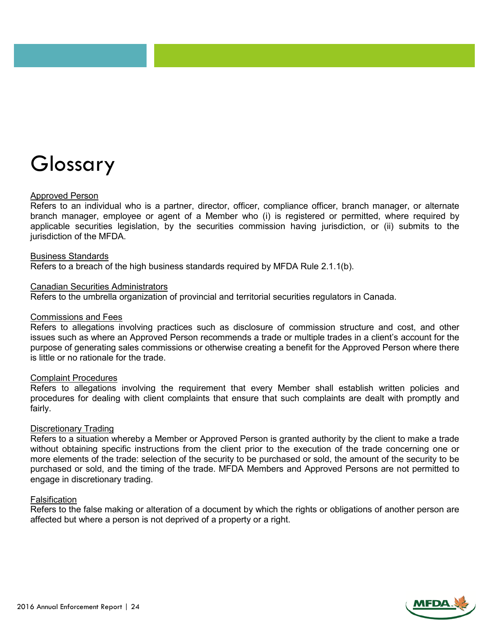# Glossary

#### Approved Person

Refers to an individual who is a partner, director, officer, compliance officer, branch manager, or alternate branch manager, employee or agent of a Member who (i) is registered or permitted, where required by applicable securities legislation, by the securities commission having jurisdiction, or (ii) submits to the jurisdiction of the MFDA.

#### Business Standards

Refers to a breach of the high business standards required by MFDA Rule 2.1.1(b).

#### Canadian Securities Administrators

Refers to the umbrella organization of provincial and territorial securities regulators in Canada.

#### Commissions and Fees

Refers to allegations involving practices such as disclosure of commission structure and cost, and other issues such as where an Approved Person recommends a trade or multiple trades in a client's account for the purpose of generating sales commissions or otherwise creating a benefit for the Approved Person where there is little or no rationale for the trade.

#### Complaint Procedures

Refers to allegations involving the requirement that every Member shall establish written policies and procedures for dealing with client complaints that ensure that such complaints are dealt with promptly and fairly.

#### Discretionary Trading

Refers to a situation whereby a Member or Approved Person is granted authority by the client to make a trade without obtaining specific instructions from the client prior to the execution of the trade concerning one or more elements of the trade: selection of the security to be purchased or sold, the amount of the security to be purchased or sold, and the timing of the trade. MFDA Members and Approved Persons are not permitted to engage in discretionary trading.

#### Falsification

Refers to the false making or alteration of a document by which the rights or obligations of another person are affected but where a person is not deprived of a property or a right.

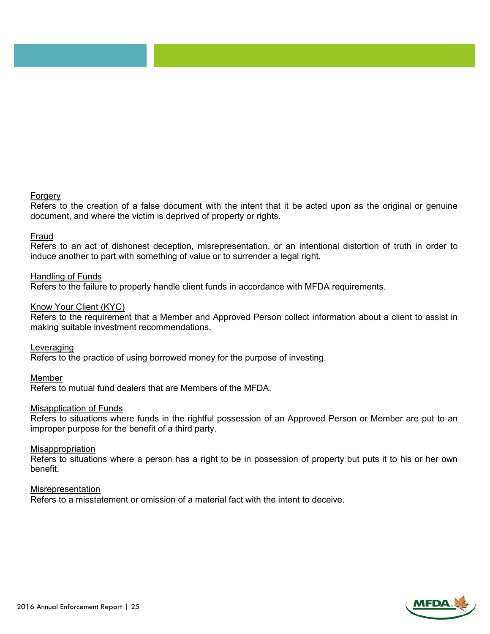#### Forgery

Refers to the creation of a false document with the intent that it be acted upon as the original or genuine document, and where the victim is deprived of property or rights.

#### Fraud

Refers to an act of dishonest deception, misrepresentation, or an intentional distortion of truth in order to induce another to part with something of value or to surrender a legal right.

#### Handling of Funds

Refers to the failure to properly handle client funds in accordance with MFDA requirements.

#### Know Your Client (KYC)

Refers to the requirement that a Member and Approved Person collect information about a client to assist in making suitable investment recommendations.

Leveraging

Refers to the practice of using borrowed money for the purpose of investing.

#### Member

Refers to mutual fund dealers that are Members of the MFDA.

#### Misapplication of Funds

Refers to situations where funds in the rightful possession of an Approved Person or Member are put to an improper purpose for the benefit of a third party.

#### Misappropriation

Refers to situations where a person has a right to be in possession of property but puts it to his or her own benefit.

#### Misrepresentation

Refers to a misstatement or omission of a material fact with the intent to deceive.

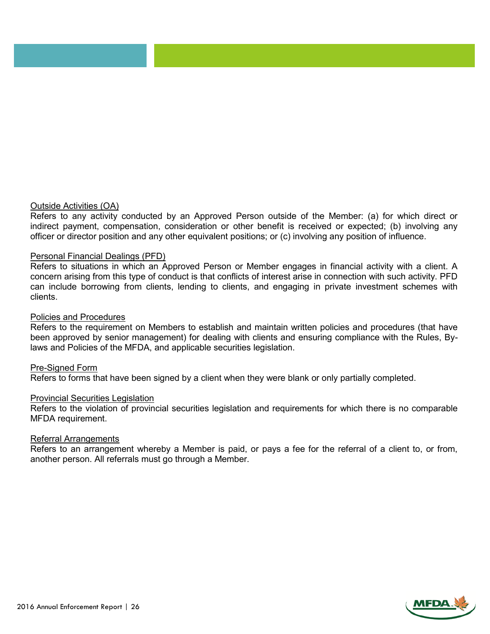#### Outside Activities (OA)

Refers to any activity conducted by an Approved Person outside of the Member: (a) for which direct or indirect payment, compensation, consideration or other benefit is received or expected; (b) involving any officer or director position and any other equivalent positions; or (c) involving any position of influence.

#### Personal Financial Dealings (PFD)

Refers to situations in which an Approved Person or Member engages in financial activity with a client. A concern arising from this type of conduct is that conflicts of interest arise in connection with such activity. PFD can include borrowing from clients, lending to clients, and engaging in private investment schemes with clients.

#### Policies and Procedures

Refers to the requirement on Members to establish and maintain written policies and procedures (that have been approved by senior management) for dealing with clients and ensuring compliance with the Rules, Bylaws and Policies of the MFDA, and applicable securities legislation.

#### Pre-Signed Form

Refers to forms that have been signed by a client when they were blank or only partially completed.

#### Provincial Securities Legislation

Refers to the violation of provincial securities legislation and requirements for which there is no comparable MFDA requirement.

#### Referral Arrangements

Refers to an arrangement whereby a Member is paid, or pays a fee for the referral of a client to, or from, another person. All referrals must go through a Member.

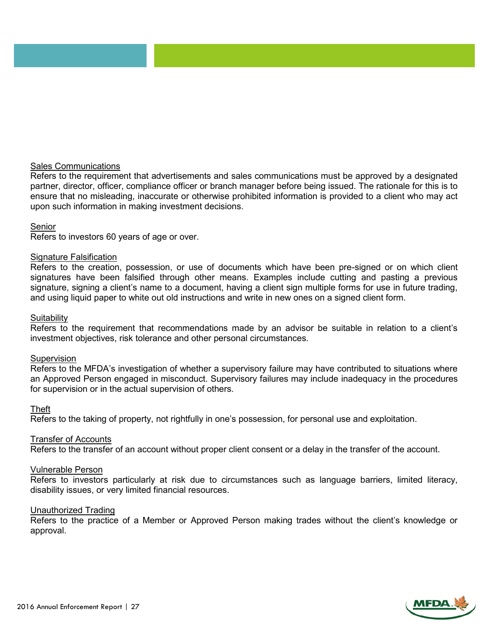#### Sales Communications

Refers to the requirement that advertisements and sales communications must be approved by a designated partner, director, officer, compliance officer or branch manager before being issued. The rationale for this is to ensure that no misleading, inaccurate or otherwise prohibited information is provided to a client who may act upon such information in making investment decisions.

#### Senior

Refers to investors 60 years of age or over.

#### Signature Falsification

Refers to the creation, possession, or use of documents which have been pre-signed or on which client signatures have been falsified through other means. Examples include cutting and pasting a previous signature, signing a client's name to a document, having a client sign multiple forms for use in future trading, and using liquid paper to white out old instructions and write in new ones on a signed client form.

#### Suitability

Refers to the requirement that recommendations made by an advisor be suitable in relation to a client's investment objectives, risk tolerance and other personal circumstances.

#### Supervision

Refers to the MFDA's investigation of whether a supervisory failure may have contributed to situations where an Approved Person engaged in misconduct. Supervisory failures may include inadequacy in the procedures for supervision or in the actual supervision of others.

#### Theft

Refers to the taking of property, not rightfully in one's possession, for personal use and exploitation.

#### Transfer of Accounts

Refers to the transfer of an account without proper client consent or a delay in the transfer of the account.

#### Vulnerable Person

Refers to investors particularly at risk due to circumstances such as language barriers, limited literacy, disability issues, or very limited financial resources.

#### Unauthorized Trading

Refers to the practice of a Member or Approved Person making trades without the client's knowledge or approval.

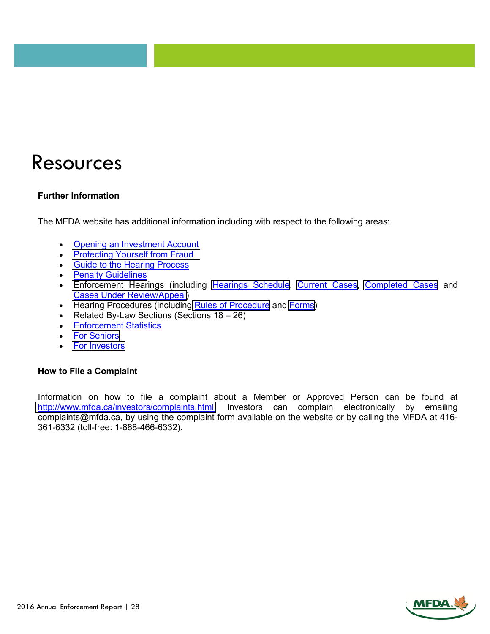### Resources

#### **Further Information**

The MFDA website has additional information including with respect to the following areas:

- Opening an Investment Account
- [Protecting](http://www.mfda.ca/investors/brochure/Fraudbrochure.pdf) Yourself from Fraud
- **Guide to the Hearing Process**
- **•** Penalty [Guidelines](http://www.mfda.ca/enforcement/PenaltyGuidelines.html)
- Enforcement Hearings (including [Hearings Schedule](http://www.mfda.ca/enforcement/hearingschedule.html), [Current](http://www.mfda.ca/enforcement/current.html) Cases, [Completed Cases](http://www.mfda.ca/enforcement/complete.html) and Cases Under [Review/Appeal\)](http://www.mfda.ca/enforcement/review.html)
- Hearing [Procedure](http://www.mfda.ca/enforcement/rulesofprocedure.html)s (including Rules of Procedure and [Forms\)](http://www.mfda.ca/enforcement/forms-enf.html)
- Related By-Law Sections (Sections  $18 26$ )
- **•** Enforcement Statistics
- For [Seniors](http://www.mfda.ca/investors/seniors.html)
- For [Investors](http://www.mfda.ca/investors/forInvestors.html)

#### **How to File a Complaint**

Information on how to file a complaint about a Member or Approved Person can be found at [http://www.mfda.ca/investors/complaints.html.](http://www.mfda.ca/investors/complaints.html) Investors can complain electronically by emailing complaints@mfda.ca, by using the complaint form available on the website or by calling the MFDA at 416- 361-6332 (toll-free: 1-888-466-6332).

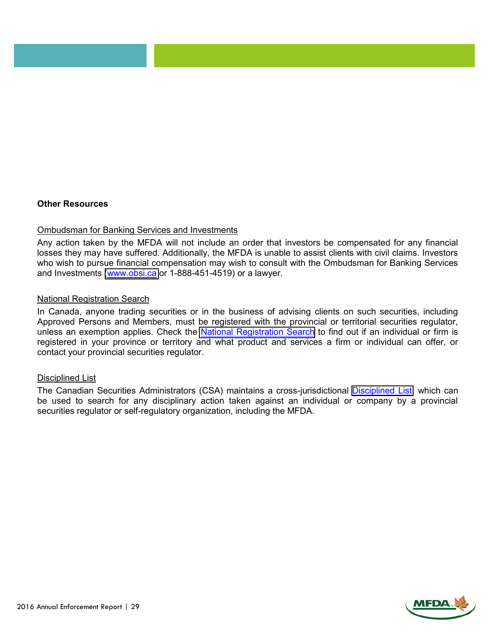#### **Other Resources**

#### Ombudsman for Banking Services and Investments

Any action taken by the MFDA will not include an order that investors be compensated for any financial losses they may have suffered. Additionally, the MFDA is unable to assist clients with civil claims. Investors who wish to pursue financial compensation may wish to consult with the Ombudsman for Banking Services and Investments [\(www.obsi.ca](https://www.obsi.ca/) or 1-888-451-4519) or a lawyer.

#### National Registration Search

In Canada, anyone trading securities or in the business of advising clients on such securities, including Approved Persons and Members, must be registered with the provincial or territorial securities regulator, unless an exemption applies. Check the National [Registration](http://www.securities-administrators.ca/nrs/nrsearch.aspx?id=850) Search to find out if an individual or firm is registered in your province or territory and what product and services a firm or individual can offer, or contact your provincial securities regulator.

#### Disciplined List

The Canadian Securities Administrators (CSA) maintains a cross-jurisdictional [Disciplined List,](http://www.securities-administrators.ca/disciplinedpersons.aspx) which can be used to search for any disciplinary action taken against an individual or company by a provincial securities regulator or self-regulatory organization, including the MFDA.